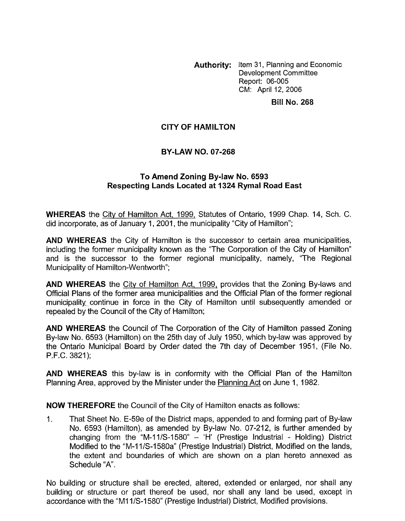**Authority:** Item 31, Planning and Economic Development Committee Report: 06-005 CM: April 12, 2006

## **Bill No. 268**

## **CITY OF HAMILTON**

## **BY-LAW NO. 07-268**

## **To Amend Zoning By-law No. 6593 Respecting Lands Located at I324 Rymal Road East**

**WHEREAS** the City of Hamilton Act, 1999, Statutes of Ontario, 1999 Chap. 14, Sch. C. did incorporate, as of January 1, 2001, the municipality "City of Hamilton";

**AND WHEREAS** the City of Hamilton is the successor to certain area municipalities, including the former municipality known as the "The Corporation of the City of Hamilton" and is the successor to the former regional municipality, namely, "The Regional Municipality of Hamilton-Wentworth";

**AND WHEREAS** the Citv of Hamilton Act, 1999, provides that the Zoning By-laws and Official Plans of the former area municipalities and the Official Plan of the former regional municipality continue in force in the City of Hamilton until subsequently amended or repealed by the Council of the City of Hamilton;

**AND WHEREAS** the Council of The Corporation of the City of Hamilton passed Zoning By-law No. 6593 (Hamilton) on the 25th day of July 1950, which by-law was approved by the Ontario Municipal Board by Order dated the 7th day of December 1951, (File No. P.F.C. 3821);

**AND WHEREAS** this by-law is in conformity with the Official Plan of the Hamilton Planning Area, approved by the Minister under the Planning Act on June 1, 1982.

**NOW THEREFORE** the Council of the City of Hamilton enacts as follows:

1. That Sheet No. E-59e of the District maps, appended to and forming part of By-law No. 6593 (Hamilton), as amended by By-law No. 07-212, is further amended by changing from the "M-11/S-1580"  $-$  'H' (Prestige Industrial - Holding) District Modified to the "M-11/S-1580a" (Prestige Industrial) District, Modified on the lands, the extent and boundaries of which are shown on a plan hereto annexed as Schedule "A'.

No building or structure shall be erected, altered, extended or enlarged, nor shall any building or structure or part thereof be used, nor shall any land be used, except in accordance with the "M11/S-1580" (Prestige Industrial) District, Modified provisions.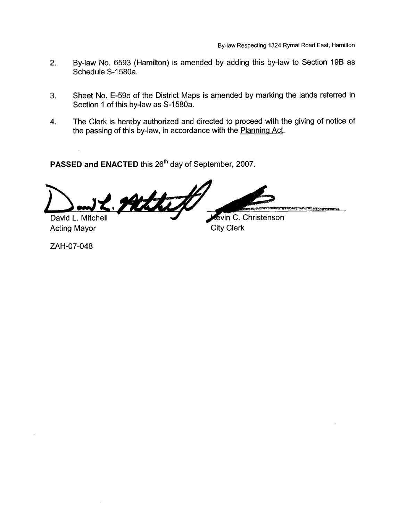- 2. By-law No. 6593 (Hamilton) is amended by adding this by-law to Section 196 as Schedule S-1580a.
- **3.** Sheet No. E-59e of the District Maps is amended by marking the lands referred in Section 1 of this by-law as S-1580a.
- 4. The Clerk is hereby authorized and directed to proceed with the giving of notice of the passing of this by-law, in accordance with the Planning Act.

**PASSED and ENACTED** this 26'h day of September, 2007.

Athip **AN ANTIQUE DIFFERENT ANTIQUE EN SITA Revin C. Christenson** David L. Mitchell

Acting Mayor City Clerk

ZAH-07-048